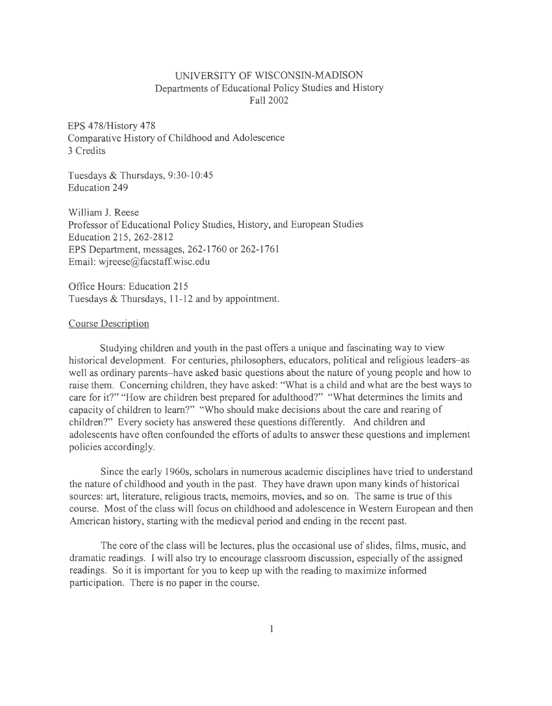## UNNERSITY OF WISCONSIN-MADISON Departments of Educational Policy Studies and History Fall2002

EPS 478/History 478 Comparative History of Childhood and Adolescence 3 Credits

Tuesdays & Thursdays, 9:30-10:45 Education 249

William J. Reese Professor of Educational Policy Studies, History, and European Studies Education 215, 262-2812 EPS Department, messages, 262-1760 or 262-1761 Email: wjreese@facstaff.wisc.edu

Office Hours: Education 215 Tuesdays & Thursdays, 11-12 and by appointment.

### Course Description

Studying children and youth in the past offers a unique and fascinating way to view historical development. For centuries, philosophers, educators, political and religious leaders-as well as ordinary parents-have asked basic questions about the nature of young people and how to raise them. Concerning children, they have asked: "What is a child and what are the best ways to care for it?'' "How are children best prepared for adulthood?" "What determines the limits and capacity of children to learn?'' "Who should make decisions about the care and rearing of children?" Every society has answered these questions differently. And children and adolescents have often confounded the efforts of adults to answer these questions and implement policies accordingly.

Since the early 1960s, scholars in numerous academic disciplines have tried to understand the nature of childhood and youth in the past. They have drawn upon many kinds of historical sources: art, literature, religious tracts, memoirs, movies, and so on. The same is true of this course. Most of the class will focus on childhood and adolescence in Western European and then American history, starting with the medieval period and ending in the recent past.

The core of the class will be lectures, plus the occasional use of slides, films, music, and dramatic readings. I will also try to encourage classroom discussion, especially of the assigned readings. So it is important for you to keep up with the reading to maximize informed participation. There is no paper in the course.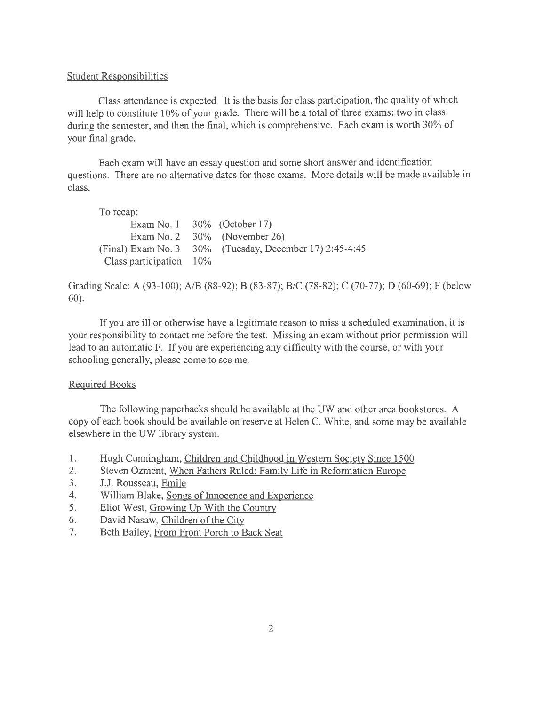#### Student Responsibilities

Class attendance is expected It is the basis for class participation, the quality of which will help to constitute 10% of your grade. There will be a total of three exams: two in class during the semester, and then the final, which is comprehensive. Each exam is worth 30% of your final grade.

Each exam will have an essay question and some short answer and identification questions. There are no alternative dates for these exams. More details will be made available in class.

To recap:

|                            | Exam No. 1 $30\%$ (October 17)                          |
|----------------------------|---------------------------------------------------------|
|                            | Exam No. 2 $30\%$ (November 26)                         |
|                            | (Final) Exam No. 3 30% (Tuesday, December 17) 2:45-4:45 |
| Class participation $10\%$ |                                                         |

Grading Scale: A (93-100); A/B (88-92); B (83-87); B/C (78-82); C (70-77); D (60-69); F (below 60).

If you are ill or otherwise have a legitimate reason to miss a scheduled examination, it is your responsibility to contact me before the test. Missing an exam without prior permission will lead to an automatic F. If you are experiencing any difficulty with the course, or with your schooling generally, please come to see me.

### Required Books

The following paperbacks should be available at the UW and other area bookstores. A copy of each book should be available on reserve at Helen C. White, and some may be available elsewhere in the UW library system.

- 1. Hugh Cunningham, Children and Childhood in Western Society Since 1500
- 2. Steven Ozment, When Fathers Ruled: Family Life in Reformation Europe
- 3. J.J. Rousseau, Emile
- 4. William Blake, Songs of Innocence and Experience
- 5. Eliot West, Growing Up With the Country
- 6. David Nasaw, Children of the City
- 7. Beth Bailey, From Front Porch to Back Seat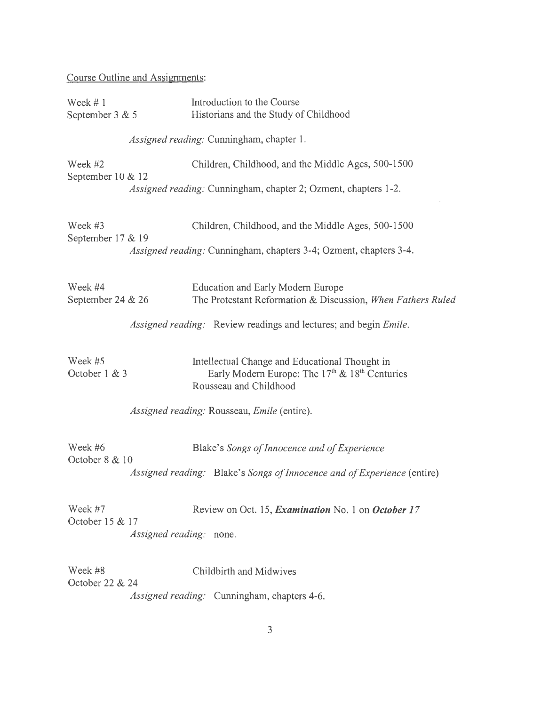# Course Outline and Assignments:

| Week $#1$<br>September 3 & 5 |                         | Introduction to the Course<br>Historians and the Study of Childhood                                                                                |
|------------------------------|-------------------------|----------------------------------------------------------------------------------------------------------------------------------------------------|
|                              |                         | Assigned reading: Cunningham, chapter 1.                                                                                                           |
| Week #2<br>September 10 & 12 |                         | Children, Childhood, and the Middle Ages, 500-1500                                                                                                 |
|                              |                         | Assigned reading: Cunningham, chapter 2; Ozment, chapters 1-2.                                                                                     |
| Week #3<br>September 17 & 19 |                         | Children, Childhood, and the Middle Ages, 500-1500                                                                                                 |
|                              |                         | Assigned reading: Cunningham, chapters 3-4; Ozment, chapters 3-4.                                                                                  |
| Week #4<br>September 24 & 26 |                         | <b>Education and Early Modern Europe</b><br>The Protestant Reformation & Discussion, When Fathers Ruled                                            |
|                              |                         | Assigned reading: Review readings and lectures; and begin Emile.                                                                                   |
| Week #5<br>October 1 & 3     |                         | Intellectual Change and Educational Thought in<br>Early Modern Europe: The 17 <sup>th</sup> & 18 <sup>th</sup> Centuries<br>Rousseau and Childhood |
|                              |                         | Assigned reading: Rousseau, Emile (entire).                                                                                                        |
| Week #6<br>October 8 & 10    |                         | Blake's Songs of Innocence and of Experience                                                                                                       |
|                              |                         | Assigned reading: Blake's Songs of Innocence and of Experience (entire)                                                                            |
| Week #7<br>October 15 & 17   |                         | Review on Oct. 15, Examination No. 1 on October 17                                                                                                 |
|                              | Assigned reading: none. |                                                                                                                                                    |
| Week #8<br>October 22 & 24   |                         | Childbirth and Midwives                                                                                                                            |
|                              |                         | Assigned reading: Cunningham, chapters 4-6.                                                                                                        |